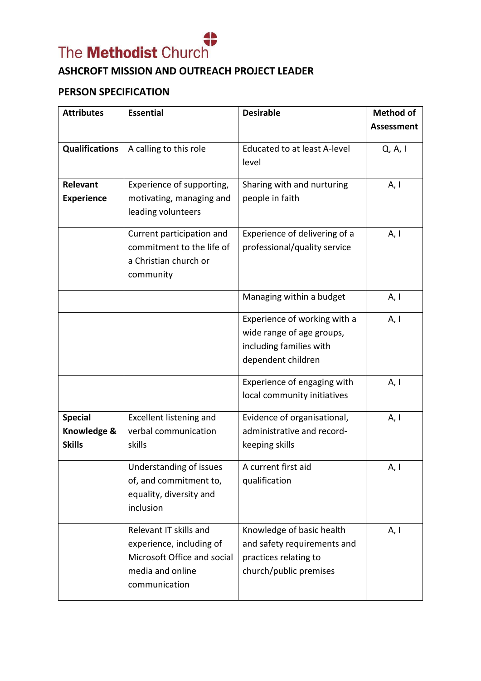

## **ASHCROFT MISSION AND OUTREACH PROJECT LEADER**

## **PERSON SPECIFICATION**

| <b>Attributes</b>                              | <b>Essential</b>                                                                                                       | <b>Desirable</b>                                                                                            | <b>Method of</b>  |
|------------------------------------------------|------------------------------------------------------------------------------------------------------------------------|-------------------------------------------------------------------------------------------------------------|-------------------|
|                                                |                                                                                                                        |                                                                                                             | <b>Assessment</b> |
| <b>Qualifications</b>                          | A calling to this role                                                                                                 | <b>Educated to at least A-level</b><br>level                                                                | Q, A, I           |
| Relevant<br><b>Experience</b>                  | Experience of supporting,<br>motivating, managing and<br>leading volunteers                                            | Sharing with and nurturing<br>people in faith                                                               | A, I              |
|                                                | Current participation and<br>commitment to the life of<br>a Christian church or<br>community                           | Experience of delivering of a<br>professional/quality service                                               | A, I              |
|                                                |                                                                                                                        | Managing within a budget                                                                                    | A, I              |
|                                                |                                                                                                                        | Experience of working with a<br>wide range of age groups,<br>including families with<br>dependent children  | A, I              |
|                                                |                                                                                                                        | Experience of engaging with<br>local community initiatives                                                  | A, I              |
| <b>Special</b><br>Knowledge &<br><b>Skills</b> | <b>Excellent listening and</b><br>verbal communication<br>skills                                                       | Evidence of organisational,<br>administrative and record-<br>keeping skills                                 | A, I              |
|                                                | Understanding of issues<br>of, and commitment to,<br>equality, diversity and<br>inclusion                              | A current first aid<br>qualification                                                                        | A, I              |
|                                                | Relevant IT skills and<br>experience, including of<br>Microsoft Office and social<br>media and online<br>communication | Knowledge of basic health<br>and safety requirements and<br>practices relating to<br>church/public premises | A, I              |